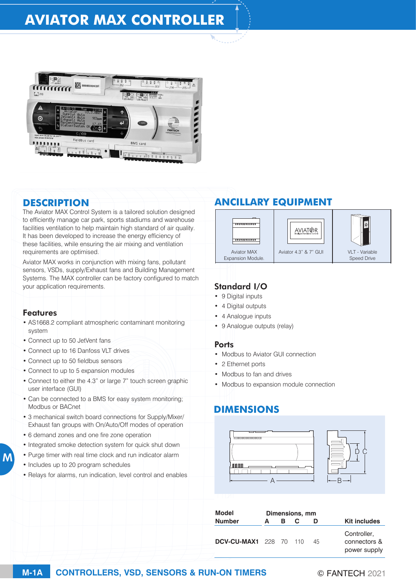# **AVIATOR MAX CONTROLLER**



### **DESCRIPTION**

The Aviator MAX Control System is a tailored solution designed to efficiently manage car park, sports stadiums and warehouse facilities ventilation to help maintain high standard of air quality. It has been developed to increase the energy efficiency of these facilities, while ensuring the air mixing and ventilation requirements are optimised.

Aviator MAX works in conjunction with mixing fans, pollutant sensors, VSDs, supply/Exhaust fans and Building Management Systems. The MAX controller can be factory configured to match your application requirements.

#### Features

M

- AS1668.2 compliant atmospheric contaminant monitoring system
- Connect up to 50 JetVent fans
- Connect up to 16 Danfoss VLT drives
- Connect up to 50 fieldbus sensors
- Connect to up to 5 expansion modules
- Connect to either the 4.3" or large 7" touch screen graphic user interface (GUI)
- Can be connected to a BMS for easy system monitoring; Modbus or BACnet
- 3 mechanical switch board connections for Supply/Mixer/ Exhaust fan groups with On/Auto/Off modes of operation
- 6 demand zones and one fire zone operation
- Integrated smoke detection system for quick shut down
- Purge timer with real time clock and run indicator alarm
- Includes up to 20 program schedules
- Relays for alarms, run indication, level control and enables

## **ANCILLARY EQUIPMENT**



### Standard I/O

- 9 Digital inputs
- 4 Digital outputs
- 4 Analogue inputs
- 9 Analogue outputs (relay)

#### **Ports**

- Modbus to Aviator GUI connection
- 2 Ethernet ports
- Modbus to fan and drives
- Modbus to expansion module connection

## **DIMENSIONS**



| Model                         | Dimensions, mm |   |  |    |                                             |
|-------------------------------|----------------|---|--|----|---------------------------------------------|
| <b>Number</b>                 | A              | в |  | D  | <b>Kit includes</b>                         |
| <b>DCV-CU-MAX1</b> 228 70 110 |                |   |  | 45 | Controller,<br>connectors &<br>power supply |